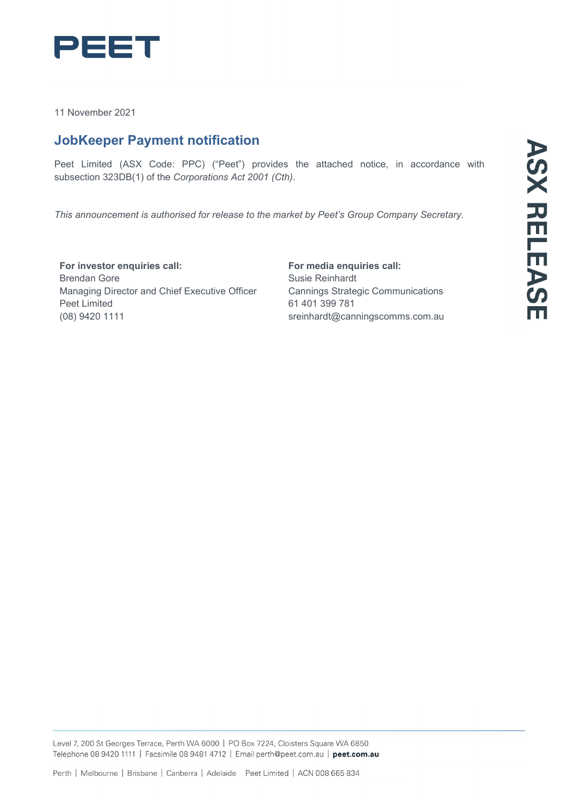

11 November 2021

## **JobKeeper Payment notification**

Peet Limited (ASX Code: PPC) ("Peet") provides the attached notice, in accordance with subsection 323DB(1) of the *Corporations Act 2001 (Cth)*.

*This announcement is authorised for release to the market by Peet's Group Company Secretary.*

**For investor enquiries call:** Brendan Gore Managing Director and Chief Executive Officer Peet Limited (08) 9420 1111

**For media enquiries call:** Susie Reinhardt Cannings Strategic Communications 61 401 399 781 [sreinhardt@canningscomms.com.au](mailto:sreinhardt@canningscomms.com.au)

Level 7, 200 St Georges Terrace, Perth WA 6000 | PO Box 7224, Cloisters Square WA 6850 Telephone 08 9420 1111 | Facsimile 08 9481 4712 | Email perth@peet.com.au | peet.com.au